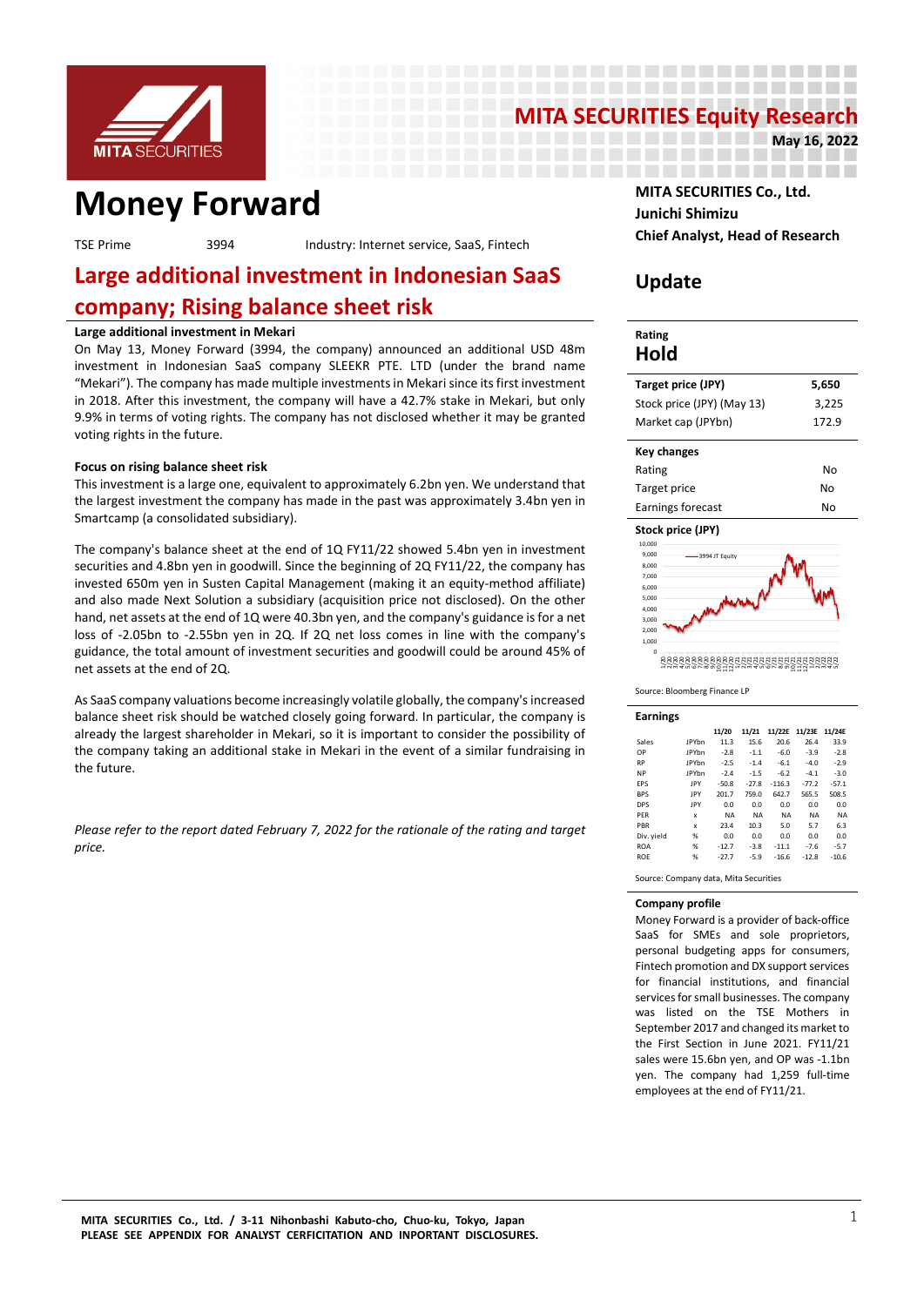

## **MITA SECURITIES Equity Research**<br>May 16, 2022

------------------------------------------

---------------\_\_\_\_\_\_\_\_\_\_\_\_\_\_\_\_\_\_\_\_\_\_\_

**May 16, 2022**

## **MONEY Forward MITA SECURITIES Co., Ltd.**

**Chief Analyst, Head of Research** TSE Prime <sup>3994</sup> Industry: Internet service, SaaS, Fintech

## **Large additional investment in Indonesian SaaS company; Rising balance sheet risk**

#### **Large additional investment in Mekari**

On May 13, Money Forward (3994, the company) announced an additional USD 48m investment in Indonesian SaaS company SLEEKR PTE. LTD (under the brand name "Mekari"). The company has made multiple investments in Mekari since its first investment in 2018. After this investment, the company will have a 42.7% stake in Mekari, but only 9.9% in terms of voting rights. The company has not disclosed whether it may be granted voting rights in the future.

#### **Focus on rising balance sheet risk**

This investment is a large one, equivalent to approximately 6.2bn yen. We understand that the largest investment the company has made in the past was approximately 3.4bn yen in Smartcamp (a consolidated subsidiary).

The company's balance sheet at the end of 1Q FY11/22 showed 5.4bn yen in investment securities and 4.8bn yen in goodwill. Since the beginning of 2Q FY11/22, the company has invested 650m yen in Susten Capital Management (making it an equity-method affiliate) and also made Next Solution a subsidiary (acquisition price not disclosed). On the other hand, net assets at the end of 1Q were 40.3bn yen, and the company's guidance is for a net loss of -2.05bn to -2.55bn yen in 2Q. If 2Q net loss comes in line with the company's guidance, the total amount of investment securities and goodwill could be around 45% of net assets at the end of 2Q.

As SaaS company valuations become increasingly volatile globally, the company's increased balance sheet risk should be watched closely going forward. In particular, the company is already the largest shareholder in Mekari, so it is important to consider the possibility of the company taking an additional stake in Mekari in the event of a similar fundraising in the future.

*Please refer to the report dated February 7, 2022 for the rationale of the rating and target price.*

# **Junichi Shimizu**

### **Update**

#### **Rating Hold Target price (JPY) 5,650** Stock price (JPY) (May 13) 3,225 Market cap (JPYbn) 172.9 **Key changes** Rating No Target price No Earnings forecast No

#### **Stock price (JPY)**





| <b>Earnings</b> |              |           |           |           |           |           |
|-----------------|--------------|-----------|-----------|-----------|-----------|-----------|
|                 |              | 11/20     | 11/21     | 11/22E    | 11/23E    | 11/24E    |
| Sales           | <b>IPYhn</b> | 11.3      | 15.6      | 20.6      | 26.4      | 33.9      |
| OP              | <b>JPYbn</b> | $-2.8$    | $-1.1$    | $-6.0$    | $-3.9$    | $-2.8$    |
| <b>RP</b>       | <b>IPYhn</b> | $-2.5$    | $-1.4$    | $-6.1$    | $-4.0$    | $-2.9$    |
| <b>NP</b>       | <b>IPYhn</b> | $-2.4$    | $-1.5$    | $-6.2$    | $-4.1$    | $-3.0$    |
| EPS             | <b>IPY</b>   | $-50.8$   | $-27.8$   | $-116.3$  | $-77.2$   | $-57.1$   |
| <b>BPS</b>      | <b>IPY</b>   | 201.7     | 759.0     | 642.7     | 565.5     | 508.5     |
| <b>DPS</b>      | IPY          | 0.0       | 0.0       | 0.0       | 0.0       | 0.0       |
| PFR             | X            | <b>NA</b> | <b>NA</b> | <b>NA</b> | <b>NA</b> | <b>NA</b> |
| PBR             | $\mathbf x$  | 23.4      | 10.3      | 5.0       | 5.7       | 6.3       |
| Div. yield      | %            | 0.0       | 0.0       | 0.0       | 0.0       | 0.0       |
| <b>ROA</b>      | %            | $-12.7$   | $-3.8$    | $-11.1$   | $-7.6$    | $-5.7$    |
| <b>ROE</b>      | %            | $-27.7$   | $-5.9$    | $-16.6$   | $-12.8$   | $-10.6$   |

Source: Company data, Mita Securities

#### **Company profile**

Money Forward is a provider of back-office SaaS for SMEs and sole proprietors, personal budgeting apps for consumers, Fintech promotion and DX support services for financial institutions, and financial services for small businesses. The company was listed on the TSE Mothers in September 2017 and changed its market to the First Section in June 2021. FY11/21 sales were 15.6bn yen, and OP was -1.1bn yen. The company had 1,259 full-time employees at the end of FY11/21.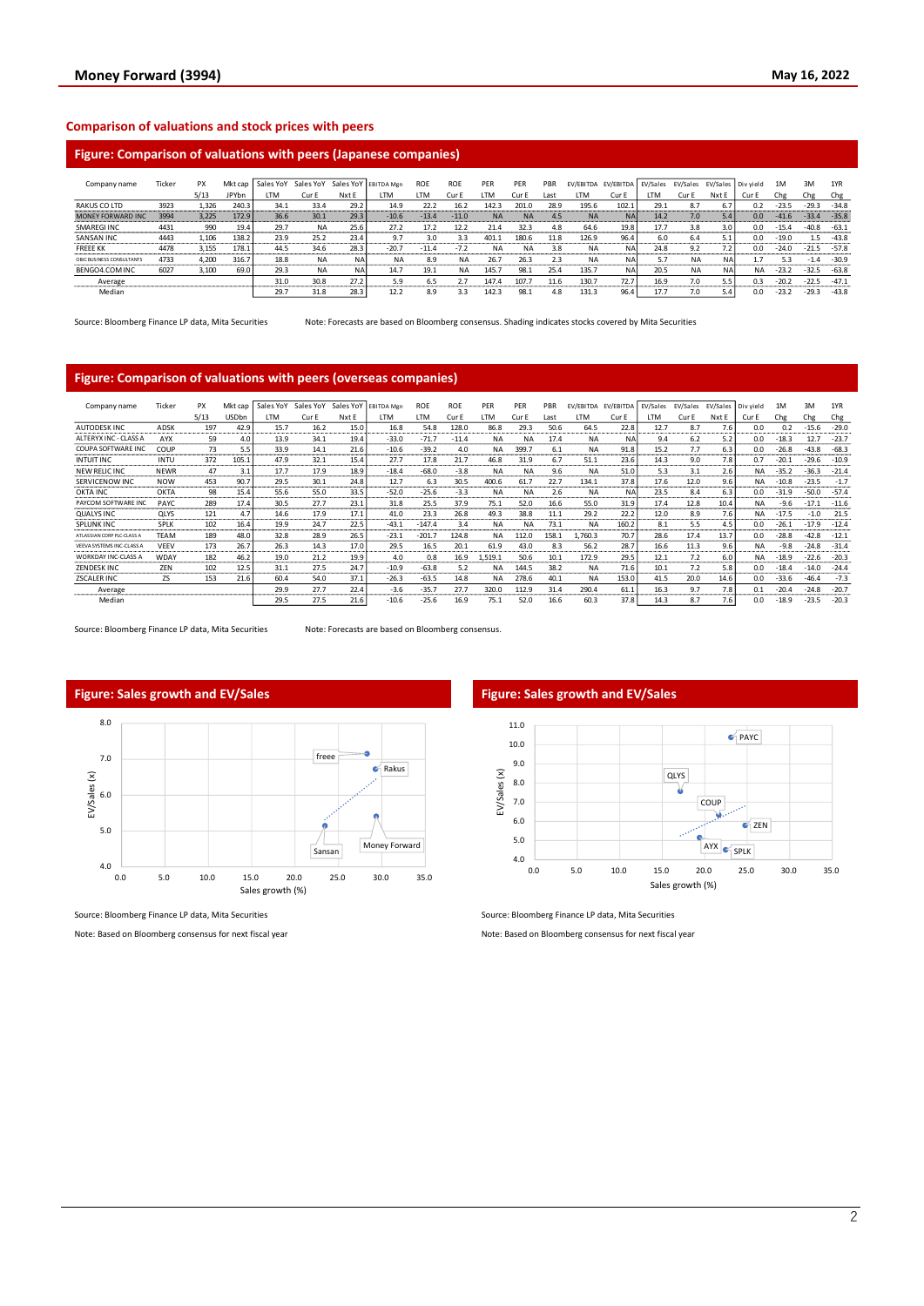#### **Comparison of valuations and stock prices with peers**

#### **Figure: Comparison of valuations with peers (Japanese companies)**

| Company name              | Ticker | PX    | Mkt cap      | Sales YoY | Sales YoY |       | Sales YoY EBITDA Mgn | ROE     | <b>ROE</b> | PER       | PFR       | PBR  | EV/EBITDA | EV/EBITDA | EV/Sales | EV/Sales  |       | EV/Sales Div yield | 1M      | 3M      | 1YR     |
|---------------------------|--------|-------|--------------|-----------|-----------|-------|----------------------|---------|------------|-----------|-----------|------|-----------|-----------|----------|-----------|-------|--------------------|---------|---------|---------|
|                           |        | 5/13  | <b>JPYbn</b> | ιTΜ       | Cur E     | Nxt E | LTM                  | LTM     | Cur E      | I TM      | Cur E     | Last | LTM       | Cur E     | LTM      | Cur E     | Nxt E | Cur E              | Chg     | Chg     | Chg     |
| RAKUS CO LTD              | 3923   | 1.326 | 240.3        | 34.1      | 33.4      | 29.2  | 14.9                 | 22.2    | 16.2       | 142.3     | 201.0     | 28.9 | 195.6     | 102.1     | 29.1     | 8.7       | 6.7   | 0.2                | $-23.5$ | $-29.3$ | $-34.8$ |
| <b>MONEY FORWARD INC</b>  | 3994   | 3,225 | 172.9        | 36.6      | 30.1      | 29.3  | $-10.6$              | $-13.4$ | $-11.0$    | <b>NA</b> | <b>NA</b> | 4.5  | <b>NA</b> | <b>NA</b> | 14.2     | 7.0       | 5.4   | 0.0                | $-41.6$ | $-33.4$ | $-35.8$ |
| SMAREGI INC               | 4431   | 990   | 19.4         | 29.7      | <b>NA</b> | 25.6  | 27.2                 | 17.2    | 12.:       | 21.4      | 32.3      | 4.8  | 64.6      | 19.8      | 17.7     | 3.8       | 3.0   | 0.0                | $-15.4$ | $-40.8$ | $-63.1$ |
| SANSAN INC                | 4443   | 1.106 | 138.2        | 23.9      | 25.2      | 23.4  | 9.7                  | 3.0     | 3.3        | 401.1     | 180.6     | 11.8 | 126.9     | 96.4      | 6.0      | 6.4       | 5.1   | 0.0                | $-19.0$ | $1.5\,$ | $-43.8$ |
| <b>FREEE KK</b>           | 4478   | 3.155 | 178.1        | 44.5      | 34.6      | 28.3  | $-20.7$              | $-11.4$ | $-7.2$     | <b>NA</b> | <b>NA</b> | 3.8  | <b>NA</b> | NA        | 24.8     | 9.2       |       | 0.0                | $-24.0$ | $-21.5$ | $-57.8$ |
| OBIC BUSINESS CONSULTANTS | 4733   | 4.200 | 316.7        | 18.8      | <b>NA</b> | NA    | NA                   | 8.9     | <b>NA</b>  | 26.7      | 26.3      | 2.3  | <b>NA</b> | <b>NA</b> | 5.7      | <b>NA</b> | NA    |                    | 5.3     | $-1.4$  | $-30.9$ |
| BENGO4.COM INC            | 6027   | 3,100 | 69.0         | 29.3      | <b>NA</b> | NA    | 14.7                 | 19.1    | <b>NA</b>  | 145.      | 98.1      | 25.4 | 135.7     | <b>NA</b> | 20.5     | <b>NA</b> | NA    | <b>NA</b>          | $-23.2$ | $-32.5$ | $-63.8$ |
| Average                   |        |       |              | 31.0      | 30.8      | 27.2  | 5.9                  | 6.5     |            | 147.7     | 107.      | 11.6 | 130.7     | 72.7      | 16.9     | 7.0       | 5.5   | 0.3                | $-20.2$ | $-22.5$ | $-47.1$ |
| Median                    |        |       |              | 29.7      | 31.8      | 28.3  | 12.2                 | 8.9     | 3.3        | 142.3     | 98.1      | 4.8  | 131.3     | 96.4      | 17.7     | 7.0       | 5.4   | n.n                | $-23.2$ | $-29.3$ | $-43.8$ |

Source: Bloomberg Finance LP data, Mita Securities Note: Forecasts are based on Bloomberg consensus. Shading indicates stocks covered by Mita Securities

#### **Figure: Comparison of valuations with peers (overseas companies)**

| Company name                      | Ticker      | PX      | Mkt cap       | Sales YoY           | Sales YoY | Sales YoY         | <b>EBITDA Men</b>      | <b>ROE</b>                | ROE                                | PER       | PER       | PBR                        | EV/EBITDA | EV/EBITDA | EV/Sales | EV/Sales | EV/Sales        | Div vield | 1M      | 3M      | 1YR     |
|-----------------------------------|-------------|---------|---------------|---------------------|-----------|-------------------|------------------------|---------------------------|------------------------------------|-----------|-----------|----------------------------|-----------|-----------|----------|----------|-----------------|-----------|---------|---------|---------|
|                                   |             | 5/13    | <b>USDbn</b>  | <b>TM</b>           | Cur E     | Nxt E             | LTM                    | <b>LTM</b>                | Cur E                              | LTM       | Cur E     | Last                       | LTM       | Cur E     | LTM      | Cur E    | Nxt E           | Cur E     | Chg     | Chg     | Chg     |
| <b>AUTODESK INC</b>               | ADSK        | 197     | 42.9          | 15.7                | 16.2      | 15.0              | 16.8                   | 54.8                      | 128.0                              | 86.8      | 29.3      | 50.6                       | 64.5      | 22.8      | 12.7     | 8.7      | 7.6             | 0.0       | 0.2     | $-15.6$ | $-29.0$ |
| ALTERYX INC - CLASS A             | AYX         | 59<br>  | 4.0<br>------ | 13.9<br>----------- | 34.1      | 19.4<br>--------- | $-33.0$                | $-71.7$                   | $-11.4$                            | <b>NA</b> | <b>NA</b> | 17.4                       | <b>NA</b> | <b>NA</b> | 9.4      | 6.2      | 5.2<br>-------- | 0.0       | $-18.3$ | 12.7    | $-23.7$ |
| COUPA SOFTWARE IN                 | COUF        | 73      | 5.5           | 33.9                | 14.1      | 21.6              | $-10.6$                | $-39.2$                   | 4.0                                | <b>NA</b> | 399.      | 6.1                        | NA        | 91.8      | 15.2     | 7.7      | 6.3             | 0.0       | $-26.8$ | $-43.8$ | $-68.3$ |
| <b>INTUIT INC</b>                 | INTU        | 372<br> | 105.1         | 47.9<br>_________   | 32.1      | 15.4              | 27.7                   | 17.8<br><b>CONTRACTOR</b> | 21.7<br><b>Information Control</b> | 46.8      | 31.9      | 6.7<br><b>Constitution</b> | 51.1      | 23.6      | 14.3     | 9.0      | 7.8             | 0.7       | $-20.1$ | $-29.6$ | $-10.9$ |
| NEW RELIC INC                     | <b>NEWR</b> | 47      | 3.1           | 17.7                | 17.9      | 18.9              | $-18.4$                | $-68.0$                   | $-3.8$                             | <b>NA</b> | NA        | 9.6                        | NA        | 51.0      | 5.3      | 3.1      | 2.6             | NA.       | $-35.2$ | $-36.3$ | $-21.4$ |
| SERVICENOW INC                    | <b>NOW</b>  | 453     | 90.7          | 29.5                | 30.1      | 24.8              | 12.7                   | 6.3                       | 30.5                               | 400.6     | 61.7      | 22.7                       | 134.1     | 37.8      | 17.6     | 12.0     | 9.6             | <b>NA</b> | $-10.8$ | $-23.5$ | $-1.7$  |
| <b>OKTA INC</b>                   | OKTA        | 98      | 15.4          | 55.6                | 55.0      | 33.5              | $-52.0$                | $-25.6$                   | $-3.3$                             | <b>NA</b> | <b>NA</b> | 2.6                        | <b>NA</b> | <b>NA</b> | 23.5     | 8.4      | 6.3             | 0.0       | $-31.9$ | $-50.0$ | $-57.4$ |
| PAYCOM SOFTWARE INC               | <b>PAYC</b> | 289     | 17.4          | 30.5                | 27.7      | 23.1              | 31.8                   | 25.5                      | 37.9                               | 75.1      | 52.0      | 16.6                       | 55.0      | 31.9      | 17.4     | 12.8     | 10.4            | <b>NA</b> | $-9.6$  |         | $-11.6$ |
| <b>QUALYS INC</b>                 | <b>QLYS</b> | 121     | 4.7           | 14.6                | 17.9      | 17.1              | 41.0                   | 23.3                      | 26.8                               | 49.3      | 38.8      | 11.1                       | 29.2      | 22.2      | 12.0     | 8.9      | 7.6             | <b>NA</b> | $-17.5$ | $-1.0$  | 21.5    |
| <b>SPLUNK INC</b>                 | SPLK        | 102     | 16.4          | 19.9                | 24.7      | 22.5              | $-43.1$                | $-147.4$                  | 3.4                                | <b>NA</b> | <b>NA</b> | 73.1                       | <b>NA</b> | 160.2     | 8.1      | 5.5      | 4.5             | 0.0       | $-26.1$ | $-17.9$ | $-12.4$ |
| ATLASSIAN CORP PLC-CLASS A        | TEAM        | 189     | 48.0          | 32.8                | 28.9      | 26.5              | $-23.1$                | $-201.7$                  | 124.8                              | <b>NA</b> | 112.0     | 158.1                      | 760.3     | 70.7      | 28.6     | 17.4     | 13.7            | 0.0       | $-28.8$ | $-42.8$ | $-12.1$ |
| VEEVA SYSTEMS INC-CLASS A         | VEEV        | 173     | 26.7          | 26.3                | 14.3      | 17.0              | 29.5                   | 16.5                      | 20.1                               | 61.9      | 43.0      | 8.3                        | 56.2      | 28.7      | 16.6     | 11.3     | 9.6             | <b>NA</b> | $-9.8$  | $-24.8$ | $-31.4$ |
| <b>WORKDAY INC-CLASS A</b>        | <b>WDAY</b> | 182     | 46.2          | 19.0                | 21.2      | 19.9              | 4.0                    | 0.8                       | 16.9                               | 1,519.1   | 50.6      | 10.1                       | 172.9     | 29.5      | 12.1     | 7.2      | 6.0             | NA        | $-18.9$ | $-22.6$ | $-20.3$ |
| <b>ZENDESKINC</b><br>------------ | ZEN         | 102<br> | 12.5<br>.     | 31.1<br>.           | 27.5<br>  | 24.7<br>          | $-10.9$<br>----------- | $-63.8$<br>               | 5.2<br>                            | <b>NA</b> | 144.5     | 38.2<br>.                  | <b>NA</b> | 71.6<br>  | 10.1<br> | 7.2<br>. | 5.8<br>-----    | 0.0       | $-18.4$ | $-14.0$ | $-24.4$ |
| <b>ZSCALER INC</b>                | ZS          | 153     | 21.6          | 60.4                | 54.0      | 37.1              | $-26.3$                | $-63.5$                   | 14.8                               | <b>NA</b> | 278.6     | 40.1                       | NA        | 153.0     | 41.5     | 20.0     | 14.6            | 0.0       | $-33.6$ | $-46.4$ | $-7.3$  |
| Average                           |             |         |               | 29.9                | 27.7      | 22.4<br>------    | $-3.6$                 | $-35.7$                   | 27.7                               | 320.0     | 112.9     | 31.4                       | 290.4     | 61.1      | 16.3     | 9.7      | 7.8             | 0.1       | $-20.4$ | $-24.8$ | $-20.7$ |
| Median                            |             |         |               | 29.5                | 27.5      | 21.6              | $-10.6$                | $-25.6$                   | 16.9                               | 75.1      | 52.0      | 16.6                       | 60.3      | 37.8      | 14.3     | 8.7      | 7.6             | 0.0       | $-18.9$ | $-23.5$ | $-20.3$ |

Source: Bloomberg Finance LP data, Mita Securities Note: Forecasts are based on Bloomberg consensus.



Source: Bloomberg Finance LP data, Mita Securities

Note: Based on Bloomberg consensus for next fiscal year



Source: Bloomberg Finance LP data, Mita Securities

Note: Based on Bloomberg consensus for next fiscal year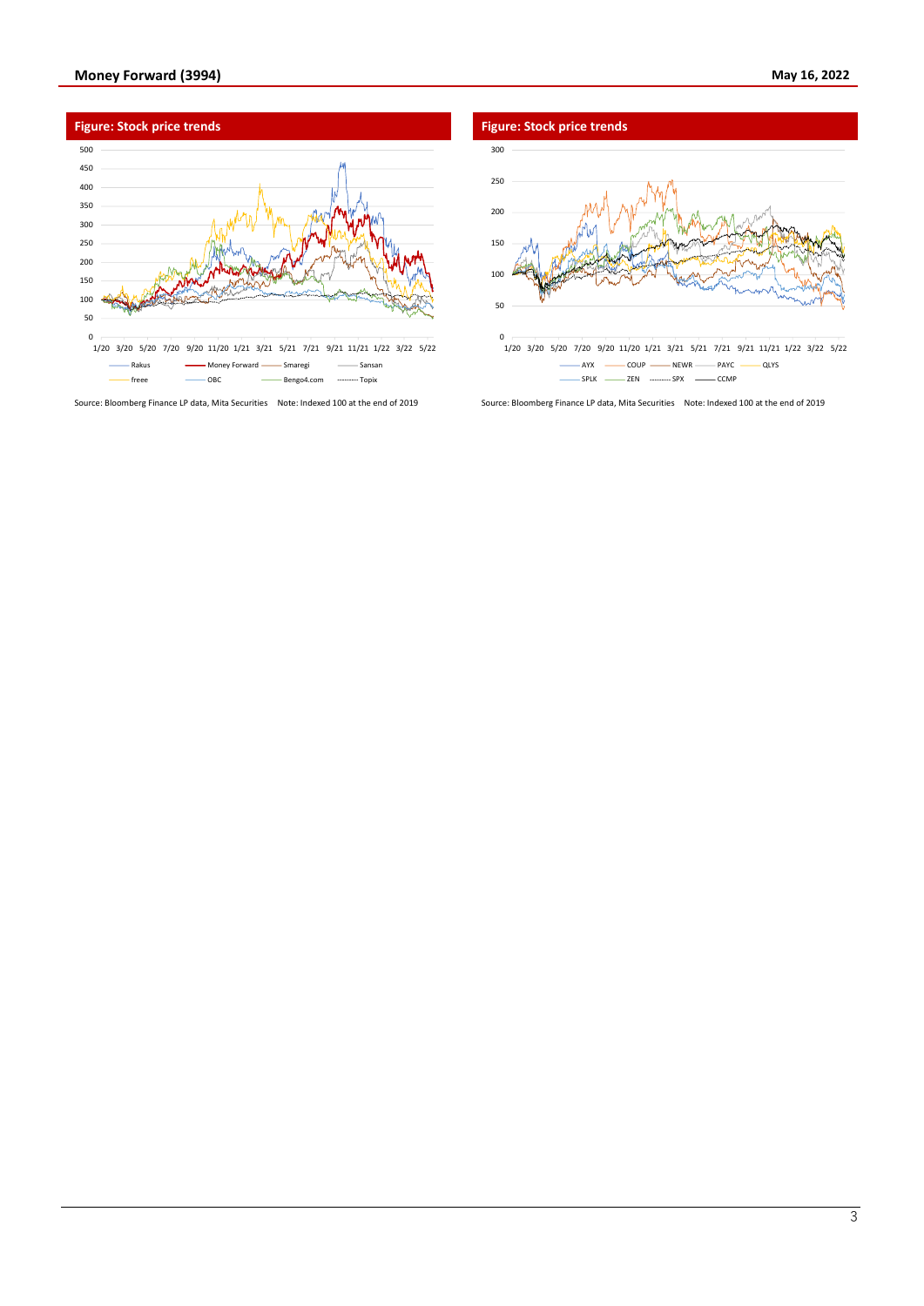

Source: Bloomberg Finance LP data, Mita Securities Note: Indexed 100 at the end of 2019 Source: Bloomberg Finance LP data, Mita Securities Note: Indexed 100 at the end of 2019